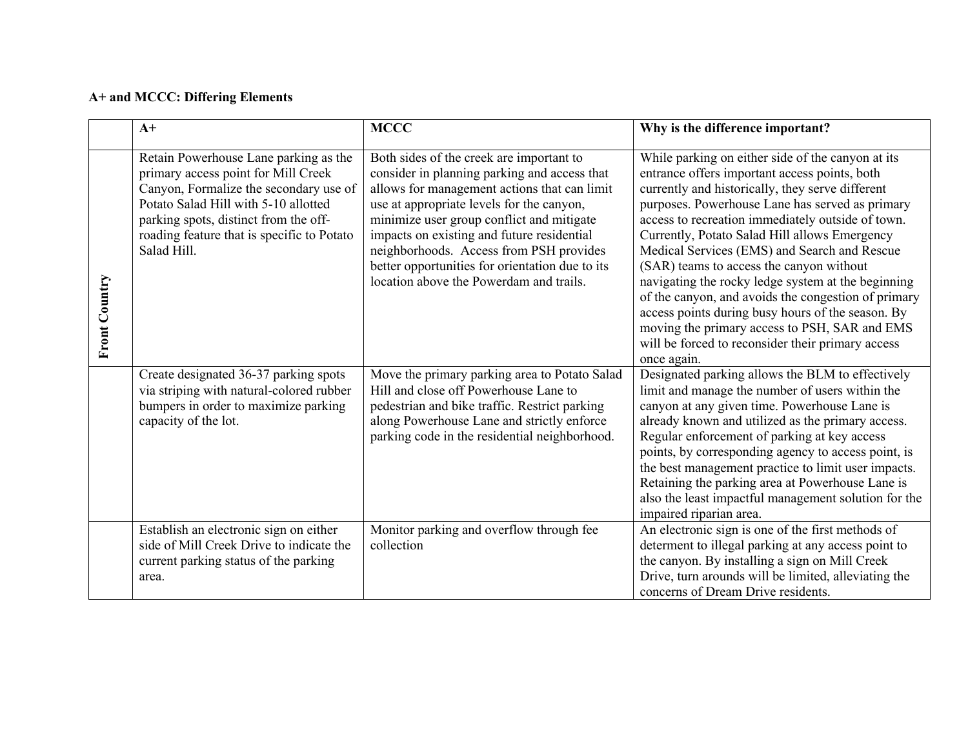## **A+ and MCCC: Differing Elements**

|                      | $A+$                                                                                                                                                                                                                                                                 | <b>MCCC</b>                                                                                                                                                                                                                                                                                                                                                                                                               | Why is the difference important?                                                                                                                                                                                                                                                                                                                                                                                                                                                                                                                                                                                                                                                                   |
|----------------------|----------------------------------------------------------------------------------------------------------------------------------------------------------------------------------------------------------------------------------------------------------------------|---------------------------------------------------------------------------------------------------------------------------------------------------------------------------------------------------------------------------------------------------------------------------------------------------------------------------------------------------------------------------------------------------------------------------|----------------------------------------------------------------------------------------------------------------------------------------------------------------------------------------------------------------------------------------------------------------------------------------------------------------------------------------------------------------------------------------------------------------------------------------------------------------------------------------------------------------------------------------------------------------------------------------------------------------------------------------------------------------------------------------------------|
| <b>Front Country</b> | Retain Powerhouse Lane parking as the<br>primary access point for Mill Creek<br>Canyon, Formalize the secondary use of<br>Potato Salad Hill with 5-10 allotted<br>parking spots, distinct from the off-<br>roading feature that is specific to Potato<br>Salad Hill. | Both sides of the creek are important to<br>consider in planning parking and access that<br>allows for management actions that can limit<br>use at appropriate levels for the canyon,<br>minimize user group conflict and mitigate<br>impacts on existing and future residential<br>neighborhoods. Access from PSH provides<br>better opportunities for orientation due to its<br>location above the Powerdam and trails. | While parking on either side of the canyon at its<br>entrance offers important access points, both<br>currently and historically, they serve different<br>purposes. Powerhouse Lane has served as primary<br>access to recreation immediately outside of town.<br>Currently, Potato Salad Hill allows Emergency<br>Medical Services (EMS) and Search and Rescue<br>(SAR) teams to access the canyon without<br>navigating the rocky ledge system at the beginning<br>of the canyon, and avoids the congestion of primary<br>access points during busy hours of the season. By<br>moving the primary access to PSH, SAR and EMS<br>will be forced to reconsider their primary access<br>once again. |
|                      | Create designated 36-37 parking spots<br>via striping with natural-colored rubber<br>bumpers in order to maximize parking<br>capacity of the lot.                                                                                                                    | Move the primary parking area to Potato Salad<br>Hill and close off Powerhouse Lane to<br>pedestrian and bike traffic. Restrict parking<br>along Powerhouse Lane and strictly enforce<br>parking code in the residential neighborhood.                                                                                                                                                                                    | Designated parking allows the BLM to effectively<br>limit and manage the number of users within the<br>canyon at any given time. Powerhouse Lane is<br>already known and utilized as the primary access.<br>Regular enforcement of parking at key access<br>points, by corresponding agency to access point, is<br>the best management practice to limit user impacts.<br>Retaining the parking area at Powerhouse Lane is<br>also the least impactful management solution for the<br>impaired riparian area.                                                                                                                                                                                      |
|                      | Establish an electronic sign on either<br>side of Mill Creek Drive to indicate the<br>current parking status of the parking<br>area.                                                                                                                                 | Monitor parking and overflow through fee<br>collection                                                                                                                                                                                                                                                                                                                                                                    | An electronic sign is one of the first methods of<br>determent to illegal parking at any access point to<br>the canyon. By installing a sign on Mill Creek<br>Drive, turn arounds will be limited, alleviating the<br>concerns of Dream Drive residents.                                                                                                                                                                                                                                                                                                                                                                                                                                           |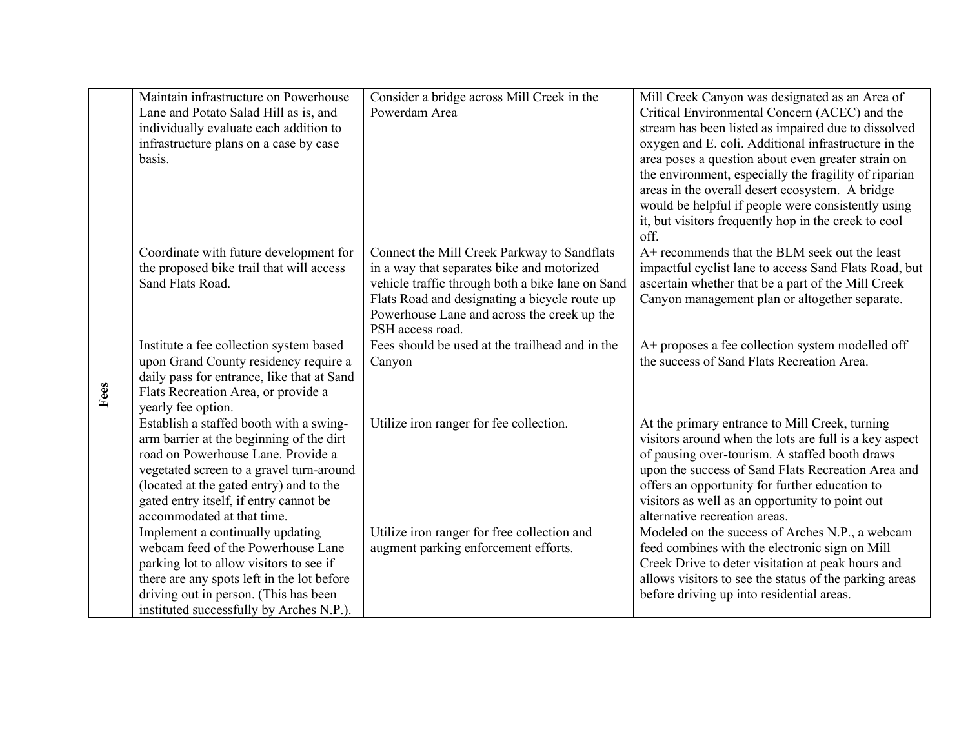|      | Maintain infrastructure on Powerhouse<br>Lane and Potato Salad Hill as is, and<br>individually evaluate each addition to<br>infrastructure plans on a case by case<br>basis.                                                                                                             | Consider a bridge across Mill Creek in the<br>Powerdam Area                                                                                                                                                                                                       | Mill Creek Canyon was designated as an Area of<br>Critical Environmental Concern (ACEC) and the<br>stream has been listed as impaired due to dissolved<br>oxygen and E. coli. Additional infrastructure in the<br>area poses a question about even greater strain on<br>the environment, especially the fragility of riparian<br>areas in the overall desert ecosystem. A bridge<br>would be helpful if people were consistently using<br>it, but visitors frequently hop in the creek to cool<br>off. |
|------|------------------------------------------------------------------------------------------------------------------------------------------------------------------------------------------------------------------------------------------------------------------------------------------|-------------------------------------------------------------------------------------------------------------------------------------------------------------------------------------------------------------------------------------------------------------------|--------------------------------------------------------------------------------------------------------------------------------------------------------------------------------------------------------------------------------------------------------------------------------------------------------------------------------------------------------------------------------------------------------------------------------------------------------------------------------------------------------|
|      | Coordinate with future development for<br>the proposed bike trail that will access<br>Sand Flats Road.                                                                                                                                                                                   | Connect the Mill Creek Parkway to Sandflats<br>in a way that separates bike and motorized<br>vehicle traffic through both a bike lane on Sand<br>Flats Road and designating a bicycle route up<br>Powerhouse Lane and across the creek up the<br>PSH access road. | A+ recommends that the BLM seek out the least<br>impactful cyclist lane to access Sand Flats Road, but<br>ascertain whether that be a part of the Mill Creek<br>Canyon management plan or altogether separate.                                                                                                                                                                                                                                                                                         |
| Fees | Institute a fee collection system based<br>upon Grand County residency require a<br>daily pass for entrance, like that at Sand<br>Flats Recreation Area, or provide a<br>yearly fee option.                                                                                              | Fees should be used at the trailhead and in the<br>Canyon                                                                                                                                                                                                         | A+ proposes a fee collection system modelled off<br>the success of Sand Flats Recreation Area.                                                                                                                                                                                                                                                                                                                                                                                                         |
|      | Establish a staffed booth with a swing-<br>arm barrier at the beginning of the dirt<br>road on Powerhouse Lane. Provide a<br>vegetated screen to a gravel turn-around<br>(located at the gated entry) and to the<br>gated entry itself, if entry cannot be<br>accommodated at that time. | Utilize iron ranger for fee collection.                                                                                                                                                                                                                           | At the primary entrance to Mill Creek, turning<br>visitors around when the lots are full is a key aspect<br>of pausing over-tourism. A staffed booth draws<br>upon the success of Sand Flats Recreation Area and<br>offers an opportunity for further education to<br>visitors as well as an opportunity to point out<br>alternative recreation areas.                                                                                                                                                 |
|      | Implement a continually updating<br>webcam feed of the Powerhouse Lane<br>parking lot to allow visitors to see if<br>there are any spots left in the lot before<br>driving out in person. (This has been<br>instituted successfully by Arches N.P.).                                     | Utilize iron ranger for free collection and<br>augment parking enforcement efforts.                                                                                                                                                                               | Modeled on the success of Arches N.P., a webcam<br>feed combines with the electronic sign on Mill<br>Creek Drive to deter visitation at peak hours and<br>allows visitors to see the status of the parking areas<br>before driving up into residential areas.                                                                                                                                                                                                                                          |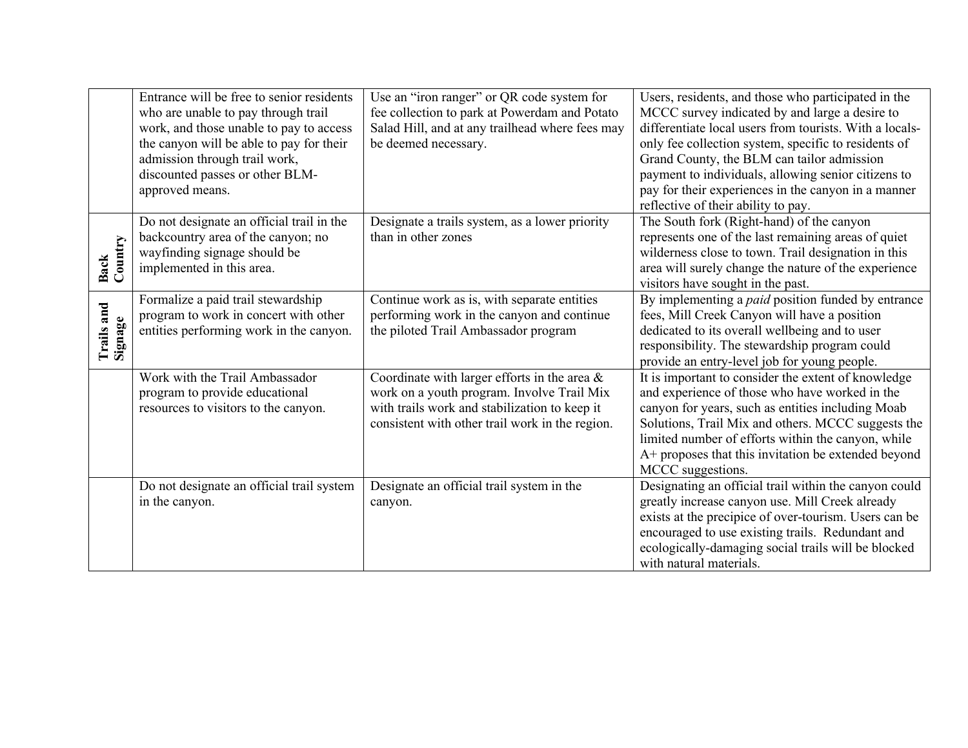|                       | Entrance will be free to senior residents<br>who are unable to pay through trail<br>work, and those unable to pay to access<br>the canyon will be able to pay for their<br>admission through trail work,<br>discounted passes or other BLM-<br>approved means. | Use an "iron ranger" or QR code system for<br>fee collection to park at Powerdam and Potato<br>Salad Hill, and at any trailhead where fees may<br>be deemed necessary.                            | Users, residents, and those who participated in the<br>MCCC survey indicated by and large a desire to<br>differentiate local users from tourists. With a locals-<br>only fee collection system, specific to residents of<br>Grand County, the BLM can tailor admission<br>payment to individuals, allowing senior citizens to<br>pay for their experiences in the canyon in a manner<br>reflective of their ability to pay. |
|-----------------------|----------------------------------------------------------------------------------------------------------------------------------------------------------------------------------------------------------------------------------------------------------------|---------------------------------------------------------------------------------------------------------------------------------------------------------------------------------------------------|-----------------------------------------------------------------------------------------------------------------------------------------------------------------------------------------------------------------------------------------------------------------------------------------------------------------------------------------------------------------------------------------------------------------------------|
| Country<br>Back       | Do not designate an official trail in the<br>backcountry area of the canyon; no<br>wayfinding signage should be<br>implemented in this area.                                                                                                                   | Designate a trails system, as a lower priority<br>than in other zones                                                                                                                             | The South fork (Right-hand) of the canyon<br>represents one of the last remaining areas of quiet<br>wilderness close to town. Trail designation in this<br>area will surely change the nature of the experience<br>visitors have sought in the past.                                                                                                                                                                        |
| Trails and<br>Signage | Formalize a paid trail stewardship<br>program to work in concert with other<br>entities performing work in the canyon.                                                                                                                                         | Continue work as is, with separate entities<br>performing work in the canyon and continue<br>the piloted Trail Ambassador program                                                                 | By implementing a <i>paid</i> position funded by entrance<br>fees, Mill Creek Canyon will have a position<br>dedicated to its overall wellbeing and to user<br>responsibility. The stewardship program could<br>provide an entry-level job for young people.                                                                                                                                                                |
|                       | Work with the Trail Ambassador<br>program to provide educational<br>resources to visitors to the canyon.                                                                                                                                                       | Coordinate with larger efforts in the area $\&$<br>work on a youth program. Involve Trail Mix<br>with trails work and stabilization to keep it<br>consistent with other trail work in the region. | It is important to consider the extent of knowledge<br>and experience of those who have worked in the<br>canyon for years, such as entities including Moab<br>Solutions, Trail Mix and others. MCCC suggests the<br>limited number of efforts within the canyon, while<br>A+ proposes that this invitation be extended beyond<br>MCCC suggestions.                                                                          |
|                       | Do not designate an official trail system<br>in the canyon.                                                                                                                                                                                                    | Designate an official trail system in the<br>canyon.                                                                                                                                              | Designating an official trail within the canyon could<br>greatly increase canyon use. Mill Creek already<br>exists at the precipice of over-tourism. Users can be<br>encouraged to use existing trails. Redundant and<br>ecologically-damaging social trails will be blocked<br>with natural materials.                                                                                                                     |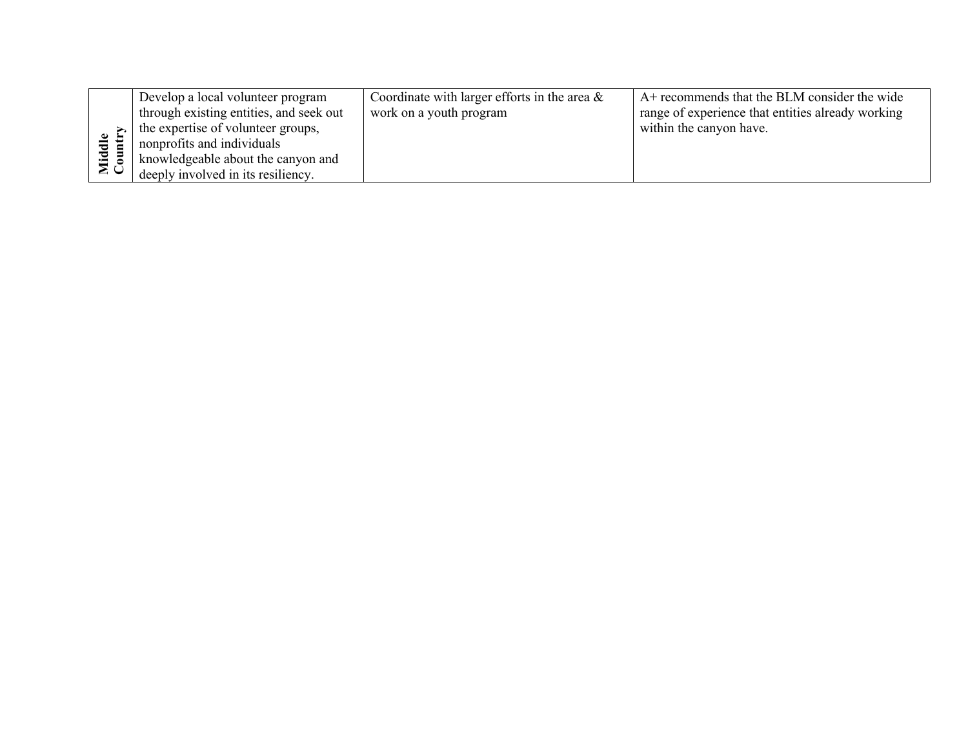|              | Develop a local volunteer program       | Coordinate with larger efforts in the area $\&$ | A+ recommends that the BLM consider the wide      |
|--------------|-----------------------------------------|-------------------------------------------------|---------------------------------------------------|
|              | through existing entities, and seek out | work on a youth program                         | range of experience that entities already working |
|              | the expertise of volunteer groups,      |                                                 | within the canyon have.                           |
| ਚੋਂ          | nonprofits and individuals              |                                                 |                                                   |
| $\mathbf{E}$ | knowledgeable about the canyon and      |                                                 |                                                   |
| ∠ >          | deeply involved in its resiliency.      |                                                 |                                                   |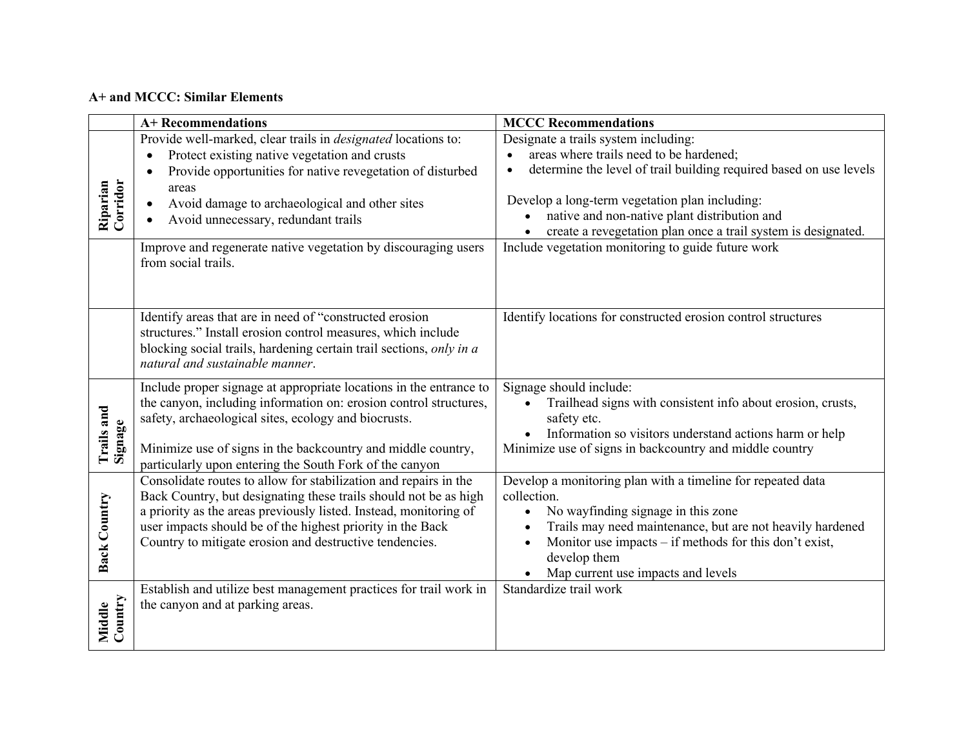## **A+ and MCCC: Similar Elements**

|                      | <b>A+ Recommendations</b>                                                                                                             | <b>MCCC Recommendations</b>                                        |
|----------------------|---------------------------------------------------------------------------------------------------------------------------------------|--------------------------------------------------------------------|
|                      | Provide well-marked, clear trails in <i>designated</i> locations to:                                                                  | Designate a trails system including:                               |
|                      | Protect existing native vegetation and crusts<br>$\bullet$                                                                            | areas where trails need to be hardened;                            |
| Corridor<br>Riparian | Provide opportunities for native revegetation of disturbed                                                                            | determine the level of trail building required based on use levels |
|                      | areas                                                                                                                                 | Develop a long-term vegetation plan including:                     |
|                      | Avoid damage to archaeological and other sites                                                                                        | native and non-native plant distribution and                       |
|                      | Avoid unnecessary, redundant trails                                                                                                   | create a revegetation plan once a trail system is designated.      |
|                      | Improve and regenerate native vegetation by discouraging users                                                                        | Include vegetation monitoring to guide future work                 |
|                      | from social trails.                                                                                                                   |                                                                    |
|                      |                                                                                                                                       |                                                                    |
|                      |                                                                                                                                       |                                                                    |
|                      | Identify areas that are in need of "constructed erosion                                                                               | Identify locations for constructed erosion control structures      |
|                      | structures." Install erosion control measures, which include<br>blocking social trails, hardening certain trail sections, only in a   |                                                                    |
|                      | natural and sustainable manner.                                                                                                       |                                                                    |
|                      | Include proper signage at appropriate locations in the entrance to                                                                    | Signage should include:                                            |
|                      | the canyon, including information on: erosion control structures,                                                                     | Trailhead signs with consistent info about erosion, crusts,        |
| <b>Trails</b> and    | safety, archaeological sites, ecology and biocrusts.                                                                                  | safety etc.                                                        |
|                      |                                                                                                                                       | Information so visitors understand actions harm or help            |
| Signage              | Minimize use of signs in the backcountry and middle country,                                                                          | Minimize use of signs in backcountry and middle country            |
|                      | particularly upon entering the South Fork of the canyon                                                                               |                                                                    |
|                      | Consolidate routes to allow for stabilization and repairs in the                                                                      | Develop a monitoring plan with a timeline for repeated data        |
| <b>Back Country</b>  | Back Country, but designating these trails should not be as high<br>a priority as the areas previously listed. Instead, monitoring of | collection.<br>No wayfinding signage in this zone<br>$\bullet$     |
|                      | user impacts should be of the highest priority in the Back                                                                            | Trails may need maintenance, but are not heavily hardened          |
|                      | Country to mitigate erosion and destructive tendencies.                                                                               | Monitor use impacts - if methods for this don't exist,             |
|                      |                                                                                                                                       | develop them                                                       |
|                      |                                                                                                                                       | Map current use impacts and levels                                 |
|                      | Establish and utilize best management practices for trail work in                                                                     | Standardize trail work                                             |
|                      | the canyon and at parking areas.                                                                                                      |                                                                    |
| Country<br>Middle    |                                                                                                                                       |                                                                    |
|                      |                                                                                                                                       |                                                                    |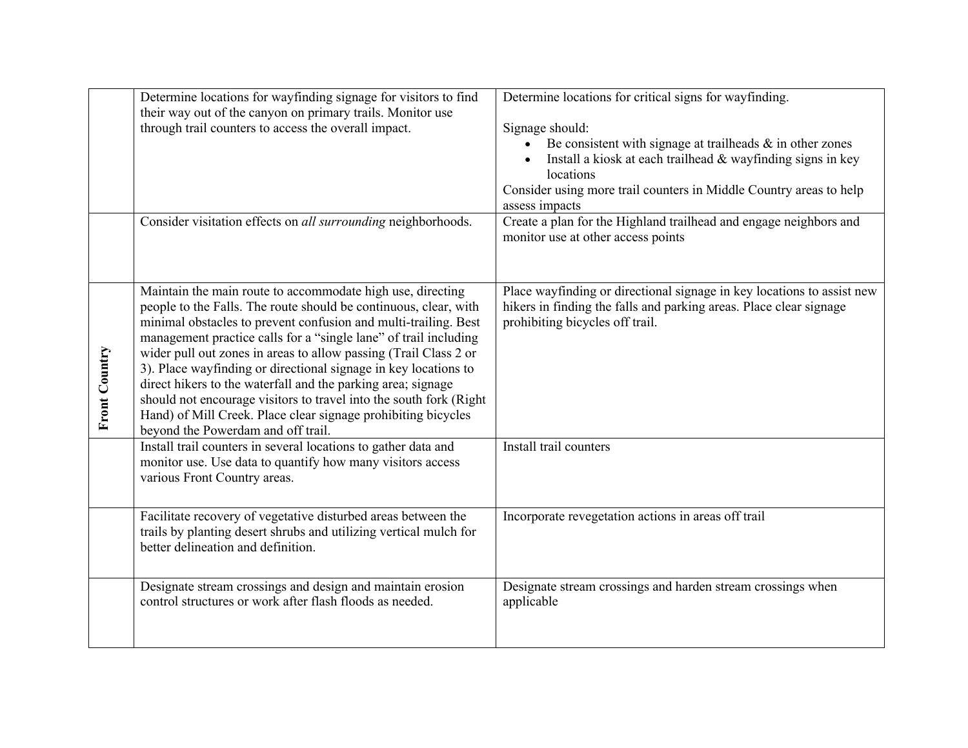|                      | Determine locations for wayfinding signage for visitors to find<br>their way out of the canyon on primary trails. Monitor use                                                                                                                                                                                                                                                                                                                                                                                                                                                                                                                             | Determine locations for critical signs for wayfinding.                                                                                                                                                                                              |
|----------------------|-----------------------------------------------------------------------------------------------------------------------------------------------------------------------------------------------------------------------------------------------------------------------------------------------------------------------------------------------------------------------------------------------------------------------------------------------------------------------------------------------------------------------------------------------------------------------------------------------------------------------------------------------------------|-----------------------------------------------------------------------------------------------------------------------------------------------------------------------------------------------------------------------------------------------------|
|                      | through trail counters to access the overall impact.                                                                                                                                                                                                                                                                                                                                                                                                                                                                                                                                                                                                      | Signage should:<br>Be consistent with signage at trailheads $\&$ in other zones<br>Install a kiosk at each trailhead & wayfinding signs in key<br>locations<br>Consider using more trail counters in Middle Country areas to help<br>assess impacts |
|                      | Consider visitation effects on all surrounding neighborhoods.                                                                                                                                                                                                                                                                                                                                                                                                                                                                                                                                                                                             | Create a plan for the Highland trailhead and engage neighbors and<br>monitor use at other access points                                                                                                                                             |
| <b>Front Country</b> | Maintain the main route to accommodate high use, directing<br>people to the Falls. The route should be continuous, clear, with<br>minimal obstacles to prevent confusion and multi-trailing. Best<br>management practice calls for a "single lane" of trail including<br>wider pull out zones in areas to allow passing (Trail Class 2 or<br>3). Place wayfinding or directional signage in key locations to<br>direct hikers to the waterfall and the parking area; signage<br>should not encourage visitors to travel into the south fork (Right<br>Hand) of Mill Creek. Place clear signage prohibiting bicycles<br>beyond the Powerdam and off trail. | Place wayfinding or directional signage in key locations to assist new<br>hikers in finding the falls and parking areas. Place clear signage<br>prohibiting bicycles off trail.                                                                     |
|                      | Install trail counters in several locations to gather data and<br>monitor use. Use data to quantify how many visitors access<br>various Front Country areas.                                                                                                                                                                                                                                                                                                                                                                                                                                                                                              | Install trail counters                                                                                                                                                                                                                              |
|                      | Facilitate recovery of vegetative disturbed areas between the<br>trails by planting desert shrubs and utilizing vertical mulch for<br>better delineation and definition.                                                                                                                                                                                                                                                                                                                                                                                                                                                                                  | Incorporate revegetation actions in areas off trail                                                                                                                                                                                                 |
|                      | Designate stream crossings and design and maintain erosion<br>control structures or work after flash floods as needed.                                                                                                                                                                                                                                                                                                                                                                                                                                                                                                                                    | Designate stream crossings and harden stream crossings when<br>applicable                                                                                                                                                                           |